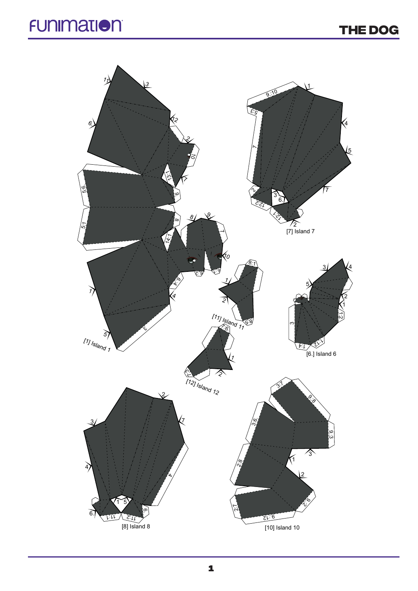## **THE Dog**

## **FUNIMATION**

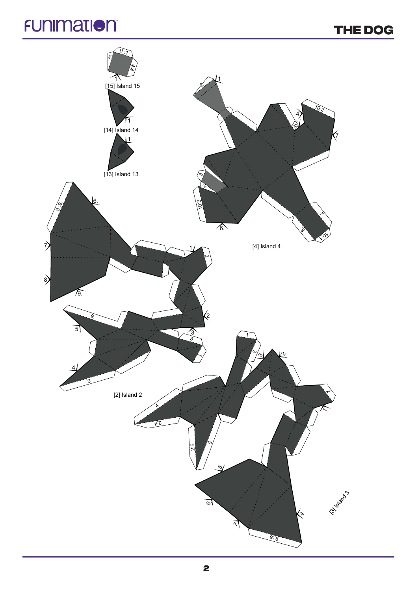## **FUNIMATION**